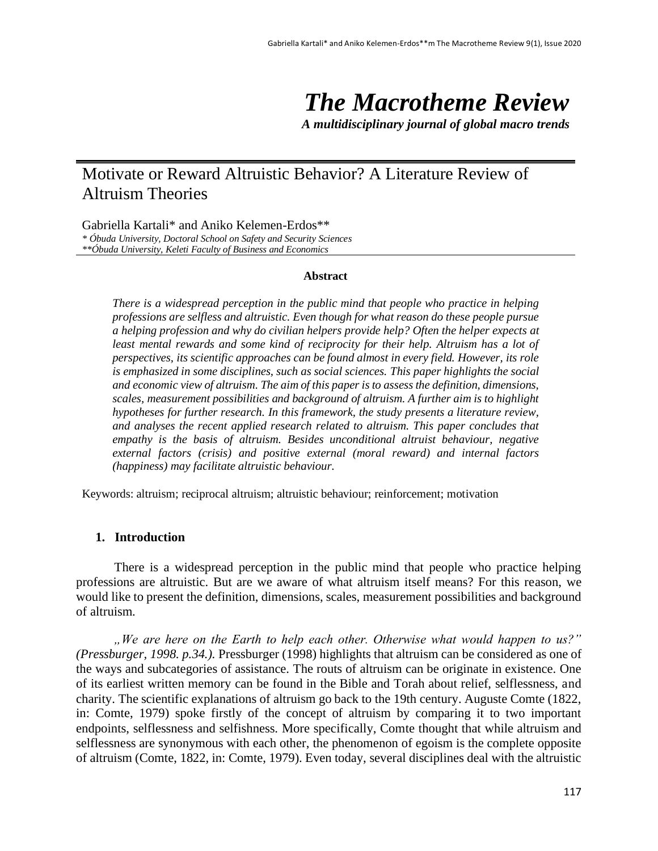# *The Macrotheme Review*

*A multidisciplinary journal of global macro trends*

# Motivate or Reward Altruistic Behavior? A Literature Review of Altruism Theories

Gabriella Kartali\* and Aniko Kelemen-Erdos\*\* *\* Óbuda University, Doctoral School on Safety and Security Sciences \*\*Óbuda University, Keleti Faculty of Business and Economics*

#### **Abstract**

*There is a widespread perception in the public mind that people who practice in helping professions are selfless and altruistic. Even though for what reason do these people pursue a helping profession and why do civilian helpers provide help? Often the helper expects at*  least mental rewards and some kind of reciprocity for their help. Altruism has a lot of *perspectives, its scientific approaches can be found almost in every field. However, its role is emphasized in some disciplines, such as social sciences. This paper highlights the social and economic view of altruism. The aim of this paper is to assess the definition, dimensions, scales, measurement possibilities and background of altruism. A further aim is to highlight hypotheses for further research. In this framework, the study presents a literature review, and analyses the recent applied research related to altruism. This paper concludes that empathy is the basis of altruism. Besides unconditional altruist behaviour, negative external factors (crisis) and positive external (moral reward) and internal factors (happiness) may facilitate altruistic behaviour.* 

Keywords: altruism; reciprocal altruism; altruistic behaviour; reinforcement; motivation

# **1. Introduction**

There is a widespread perception in the public mind that people who practice helping professions are altruistic. But are we aware of what altruism itself means? For this reason, we would like to present the definition, dimensions, scales, measurement possibilities and background of altruism.

*"We are here on the Earth to help each other. Otherwise what would happen to us?" (Pressburger, 1998. p.34.).* Pressburger (1998) highlights that altruism can be considered as one of the ways and subcategories of assistance. The routs of altruism can be originate in existence. One of its earliest written memory can be found in the Bible and Torah about relief, selflessness, and charity. The scientific explanations of altruism go back to the 19th century. Auguste Comte (1822, in: Comte, 1979) spoke firstly of the concept of altruism by comparing it to two important endpoints, selflessness and selfishness. More specifically, Comte thought that while altruism and selflessness are synonymous with each other, the phenomenon of egoism is the complete opposite of altruism (Comte, 1822, in: Comte, 1979). Even today, several disciplines deal with the altruistic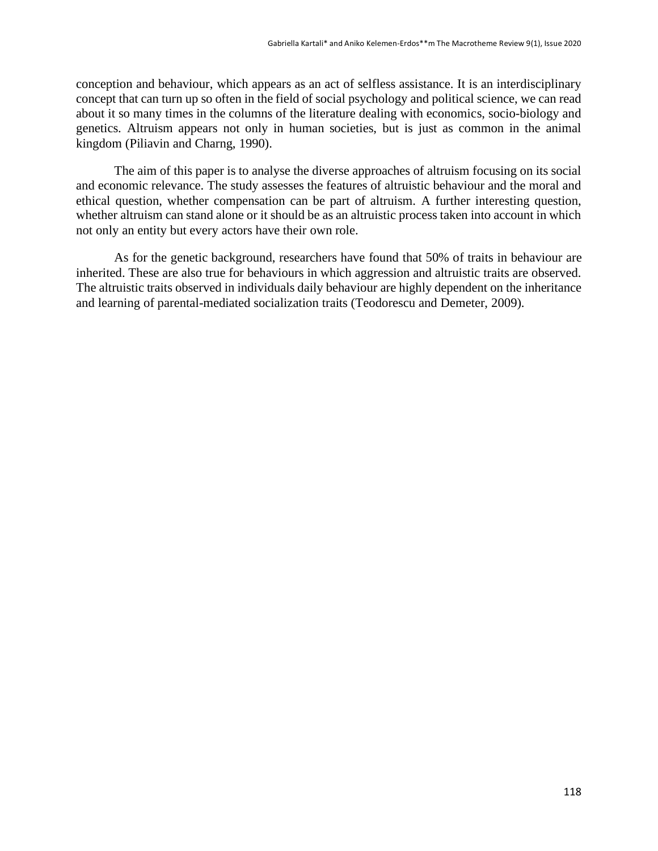conception and behaviour, which appears as an act of selfless assistance. It is an interdisciplinary concept that can turn up so often in the field of social psychology and political science, we can read about it so many times in the columns of the literature dealing with economics, socio-biology and genetics. Altruism appears not only in human societies, but is just as common in the animal kingdom (Piliavin and Charng, 1990).

The aim of this paper is to analyse the diverse approaches of altruism focusing on its social and economic relevance. The study assesses the features of altruistic behaviour and the moral and ethical question, whether compensation can be part of altruism. A further interesting question, whether altruism can stand alone or it should be as an altruistic process taken into account in which not only an entity but every actors have their own role.

As for the genetic background, researchers have found that 50% of traits in behaviour are inherited. These are also true for behaviours in which aggression and altruistic traits are observed. The altruistic traits observed in individuals daily behaviour are highly dependent on the inheritance and learning of parental-mediated socialization traits (Teodorescu and Demeter, 2009).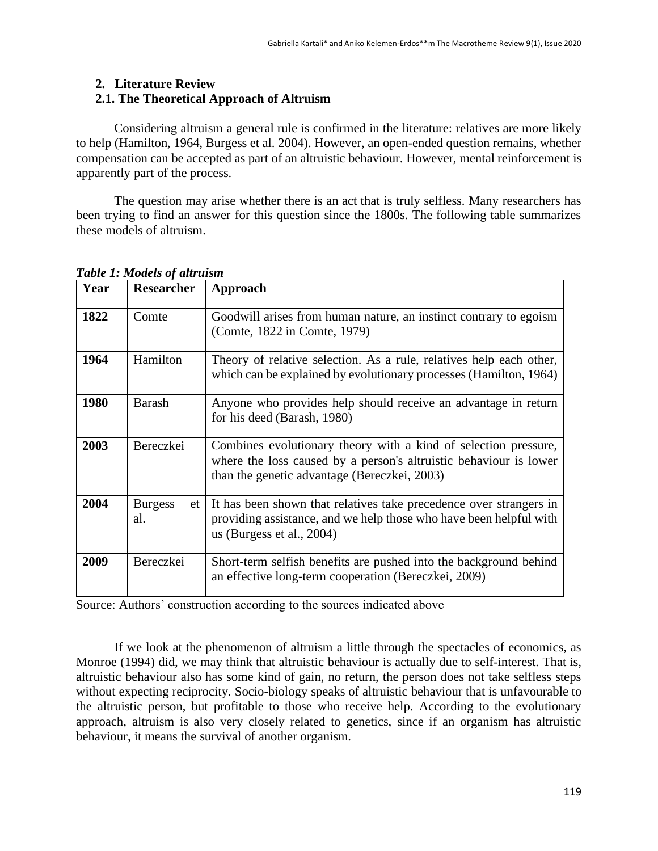### **2. Literature Review**

# **2.1. The Theoretical Approach of Altruism**

Considering altruism a general rule is confirmed in the literature: relatives are more likely to help (Hamilton, 1964, Burgess et al. 2004). However, an open-ended question remains, whether compensation can be accepted as part of an altruistic behaviour. However, mental reinforcement is apparently part of the process.

The question may arise whether there is an act that is truly selfless. Many researchers has been trying to find an answer for this question since the 1800s. The following table summarizes these models of altruism.

| Year | <b>Researcher</b>           | Approach                                                                                                                                                                             |
|------|-----------------------------|--------------------------------------------------------------------------------------------------------------------------------------------------------------------------------------|
| 1822 | Comte                       | Goodwill arises from human nature, an instinct contrary to egoism<br>(Comte, 1822 in Comte, 1979)                                                                                    |
| 1964 | Hamilton                    | Theory of relative selection. As a rule, relatives help each other,<br>which can be explained by evolutionary processes (Hamilton, 1964)                                             |
| 1980 | Barash                      | Anyone who provides help should receive an advantage in return<br>for his deed (Barash, 1980)                                                                                        |
| 2003 | Bereczkei                   | Combines evolutionary theory with a kind of selection pressure,<br>where the loss caused by a person's altruistic behaviour is lower<br>than the genetic advantage (Bereczkei, 2003) |
| 2004 | <b>Burgess</b><br>et<br>al. | It has been shown that relatives take precedence over strangers in<br>providing assistance, and we help those who have been helpful with<br>us (Burgess et al., $2004$ )             |
| 2009 | Bereczkei                   | Short-term selfish benefits are pushed into the background behind<br>an effective long-term cooperation (Bereczkei, 2009)                                                            |

#### *Table 1: Models of altruism*

Source: Authors' construction according to the sources indicated above

If we look at the phenomenon of altruism a little through the spectacles of economics, as Monroe (1994) did, we may think that altruistic behaviour is actually due to self-interest. That is, altruistic behaviour also has some kind of gain, no return, the person does not take selfless steps without expecting reciprocity. Socio-biology speaks of altruistic behaviour that is unfavourable to the altruistic person, but profitable to those who receive help. According to the evolutionary approach, altruism is also very closely related to genetics, since if an organism has altruistic behaviour, it means the survival of another organism.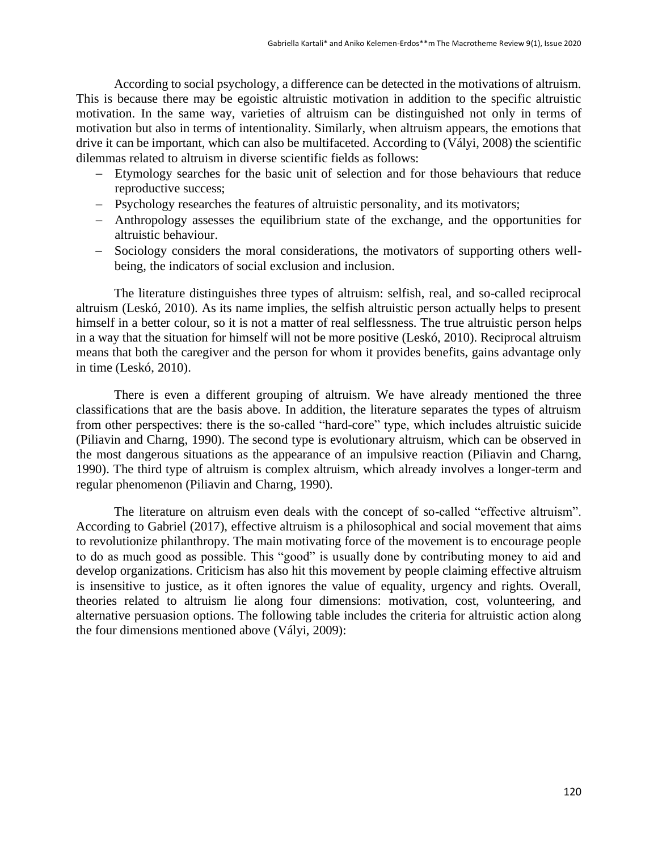According to social psychology, a difference can be detected in the motivations of altruism. This is because there may be egoistic altruistic motivation in addition to the specific altruistic motivation. In the same way, varieties of altruism can be distinguished not only in terms of motivation but also in terms of intentionality. Similarly, when altruism appears, the emotions that drive it can be important, which can also be multifaceted. According to (Vályi, 2008) the scientific dilemmas related to altruism in diverse scientific fields as follows:

- − Etymology searches for the basic unit of selection and for those behaviours that reduce reproductive success;
- − Psychology researches the features of altruistic personality, and its motivators;
- − Anthropology assesses the equilibrium state of the exchange, and the opportunities for altruistic behaviour.
- − Sociology considers the moral considerations, the motivators of supporting others wellbeing, the indicators of social exclusion and inclusion.

The literature distinguishes three types of altruism: selfish, real, and so-called reciprocal altruism (Leskó, 2010). As its name implies, the selfish altruistic person actually helps to present himself in a better colour, so it is not a matter of real selflessness. The true altruistic person helps in a way that the situation for himself will not be more positive (Leskó, 2010). Reciprocal altruism means that both the caregiver and the person for whom it provides benefits, gains advantage only in time (Leskó, 2010).

There is even a different grouping of altruism. We have already mentioned the three classifications that are the basis above. In addition, the literature separates the types of altruism from other perspectives: there is the so-called "hard-core" type, which includes altruistic suicide (Piliavin and Charng, 1990). The second type is evolutionary altruism, which can be observed in the most dangerous situations as the appearance of an impulsive reaction (Piliavin and Charng, 1990). The third type of altruism is complex altruism, which already involves a longer-term and regular phenomenon (Piliavin and Charng, 1990).

The literature on altruism even deals with the concept of so-called "effective altruism". According to Gabriel (2017), effective altruism is a philosophical and social movement that aims to revolutionize philanthropy. The main motivating force of the movement is to encourage people to do as much good as possible. This "good" is usually done by contributing money to aid and develop organizations. Criticism has also hit this movement by people claiming effective altruism is insensitive to justice, as it often ignores the value of equality, urgency and rights. Overall, theories related to altruism lie along four dimensions: motivation, cost, volunteering, and alternative persuasion options. The following table includes the criteria for altruistic action along the four dimensions mentioned above (Vályi, 2009):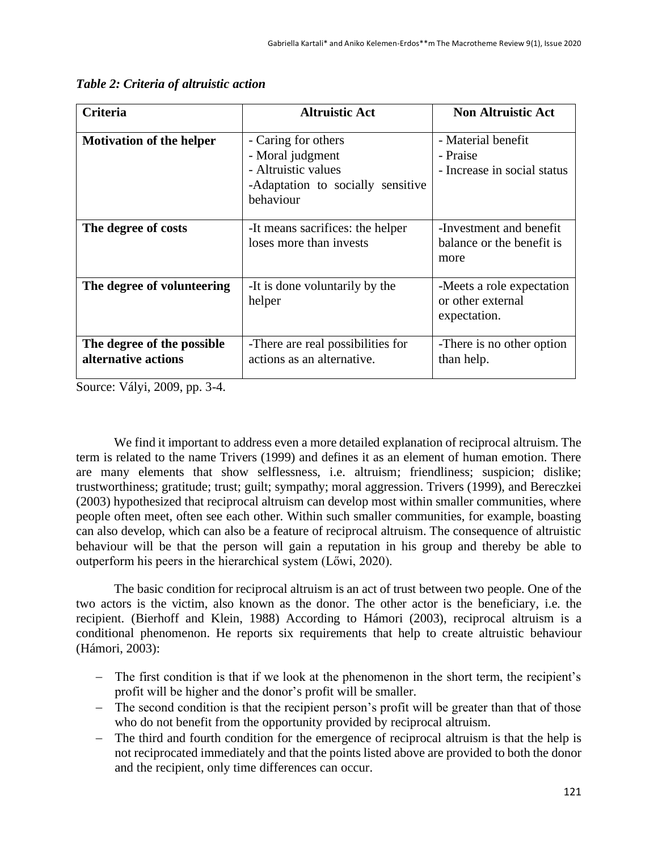| Criteria                                          | <b>Altruistic Act</b>                                                                                            | <b>Non Altruistic Act</b>                                      |
|---------------------------------------------------|------------------------------------------------------------------------------------------------------------------|----------------------------------------------------------------|
| <b>Motivation of the helper</b>                   | - Caring for others<br>- Moral judgment<br>- Altruistic values<br>-Adaptation to socially sensitive<br>behaviour | - Material benefit<br>- Praise<br>- Increase in social status  |
| The degree of costs                               | -It means sacrifices: the helper<br>loses more than invests                                                      | -Investment and benefit<br>balance or the benefit is<br>more   |
| The degree of volunteering                        | -It is done voluntarily by the<br>helper                                                                         | -Meets a role expectation<br>or other external<br>expectation. |
| The degree of the possible<br>alternative actions | -There are real possibilities for<br>actions as an alternative.                                                  | -There is no other option<br>than help.                        |

|  | Table 2: Criteria of altruistic action |  |
|--|----------------------------------------|--|
|  |                                        |  |

Source: Vályi, 2009, pp. 3-4.

We find it important to address even a more detailed explanation of reciprocal altruism. The term is related to the name Trivers (1999) and defines it as an element of human emotion. There are many elements that show selflessness, i.e. altruism; friendliness; suspicion; dislike; trustworthiness; gratitude; trust; guilt; sympathy; moral aggression. Trivers (1999), and Bereczkei (2003) hypothesized that reciprocal altruism can develop most within smaller communities, where people often meet, often see each other. Within such smaller communities, for example, boasting can also develop, which can also be a feature of reciprocal altruism. The consequence of altruistic behaviour will be that the person will gain a reputation in his group and thereby be able to outperform his peers in the hierarchical system (Lőwi, 2020).

The basic condition for reciprocal altruism is an act of trust between two people. One of the two actors is the victim, also known as the donor. The other actor is the beneficiary, i.e. the recipient. (Bierhoff and Klein, 1988) According to Hámori (2003), reciprocal altruism is a conditional phenomenon. He reports six requirements that help to create altruistic behaviour (Hámori, 2003):

- The first condition is that if we look at the phenomenon in the short term, the recipient's profit will be higher and the donor's profit will be smaller.
- − The second condition is that the recipient person's profit will be greater than that of those who do not benefit from the opportunity provided by reciprocal altruism.
- The third and fourth condition for the emergence of reciprocal altruism is that the help is not reciprocated immediately and that the points listed above are provided to both the donor and the recipient, only time differences can occur.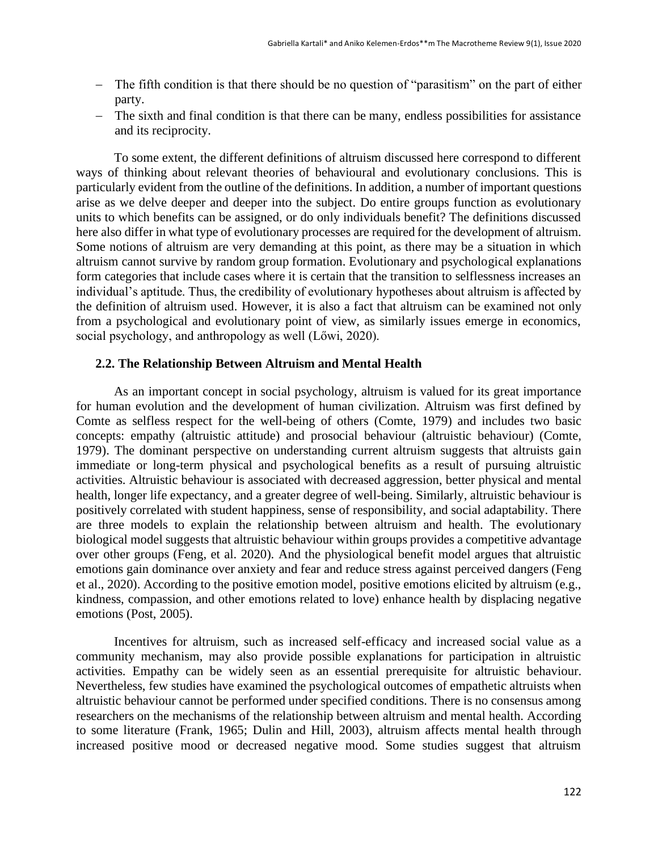- − The fifth condition is that there should be no question of "parasitism" on the part of either party.
- − The sixth and final condition is that there can be many, endless possibilities for assistance and its reciprocity.

To some extent, the different definitions of altruism discussed here correspond to different ways of thinking about relevant theories of behavioural and evolutionary conclusions. This is particularly evident from the outline of the definitions. In addition, a number of important questions arise as we delve deeper and deeper into the subject. Do entire groups function as evolutionary units to which benefits can be assigned, or do only individuals benefit? The definitions discussed here also differ in what type of evolutionary processes are required for the development of altruism. Some notions of altruism are very demanding at this point, as there may be a situation in which altruism cannot survive by random group formation. Evolutionary and psychological explanations form categories that include cases where it is certain that the transition to selflessness increases an individual's aptitude. Thus, the credibility of evolutionary hypotheses about altruism is affected by the definition of altruism used. However, it is also a fact that altruism can be examined not only from a psychological and evolutionary point of view, as similarly issues emerge in economics, social psychology, and anthropology as well (Lőwi, 2020).

#### **2.2. The Relationship Between Altruism and Mental Health**

As an important concept in social psychology, altruism is valued for its great importance for human evolution and the development of human civilization. Altruism was first defined by Comte as selfless respect for the well-being of others (Comte, 1979) and includes two basic concepts: empathy (altruistic attitude) and prosocial behaviour (altruistic behaviour) (Comte, 1979). The dominant perspective on understanding current altruism suggests that altruists gain immediate or long-term physical and psychological benefits as a result of pursuing altruistic activities. Altruistic behaviour is associated with decreased aggression, better physical and mental health, longer life expectancy, and a greater degree of well-being. Similarly, altruistic behaviour is positively correlated with student happiness, sense of responsibility, and social adaptability. There are three models to explain the relationship between altruism and health. The evolutionary biological model suggests that altruistic behaviour within groups provides a competitive advantage over other groups (Feng, et al. 2020). And the physiological benefit model argues that altruistic emotions gain dominance over anxiety and fear and reduce stress against perceived dangers (Feng et al., 2020). According to the positive emotion model, positive emotions elicited by altruism (e.g., kindness, compassion, and other emotions related to love) enhance health by displacing negative emotions (Post, 2005).

Incentives for altruism, such as increased self-efficacy and increased social value as a community mechanism, may also provide possible explanations for participation in altruistic activities. Empathy can be widely seen as an essential prerequisite for altruistic behaviour. Nevertheless, few studies have examined the psychological outcomes of empathetic altruists when altruistic behaviour cannot be performed under specified conditions. There is no consensus among researchers on the mechanisms of the relationship between altruism and mental health. According to some literature (Frank, 1965; Dulin and Hill, 2003), altruism affects mental health through increased positive mood or decreased negative mood. Some studies suggest that altruism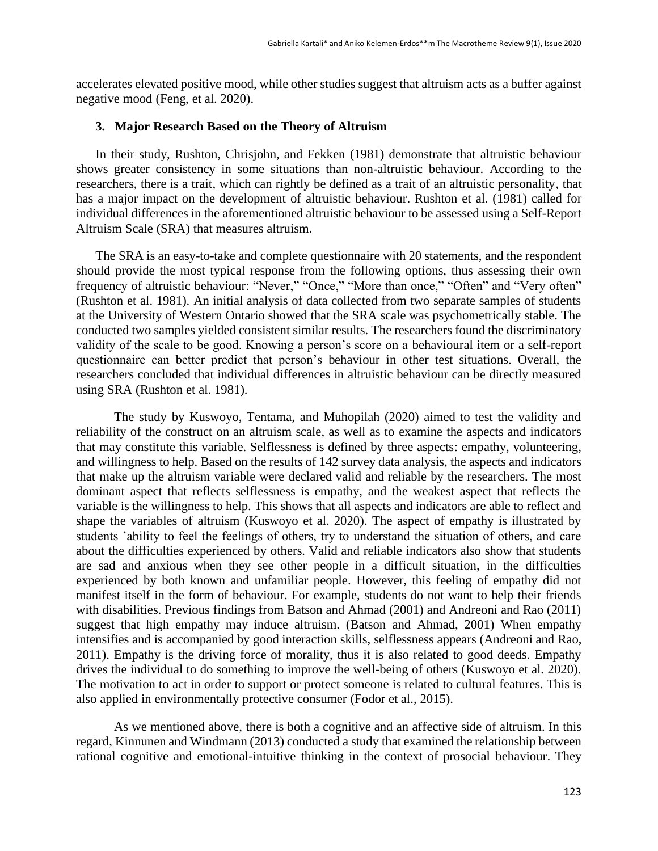accelerates elevated positive mood, while other studies suggest that altruism acts as a buffer against negative mood (Feng, et al. 2020).

#### **3. Major Research Based on the Theory of Altruism**

In their study, Rushton, Chrisjohn, and Fekken (1981) demonstrate that altruistic behaviour shows greater consistency in some situations than non-altruistic behaviour. According to the researchers, there is a trait, which can rightly be defined as a trait of an altruistic personality, that has a major impact on the development of altruistic behaviour. Rushton et al. (1981) called for individual differences in the aforementioned altruistic behaviour to be assessed using a Self-Report Altruism Scale (SRA) that measures altruism.

The SRA is an easy-to-take and complete questionnaire with 20 statements, and the respondent should provide the most typical response from the following options, thus assessing their own frequency of altruistic behaviour: "Never," "Once," "More than once," "Often" and "Very often" (Rushton et al. 1981). An initial analysis of data collected from two separate samples of students at the University of Western Ontario showed that the SRA scale was psychometrically stable. The conducted two samples yielded consistent similar results. The researchers found the discriminatory validity of the scale to be good. Knowing a person's score on a behavioural item or a self-report questionnaire can better predict that person's behaviour in other test situations. Overall, the researchers concluded that individual differences in altruistic behaviour can be directly measured using SRA (Rushton et al. 1981).

The study by Kuswoyo, Tentama, and Muhopilah (2020) aimed to test the validity and reliability of the construct on an altruism scale, as well as to examine the aspects and indicators that may constitute this variable. Selflessness is defined by three aspects: empathy, volunteering, and willingness to help. Based on the results of 142 survey data analysis, the aspects and indicators that make up the altruism variable were declared valid and reliable by the researchers. The most dominant aspect that reflects selflessness is empathy, and the weakest aspect that reflects the variable is the willingness to help. This shows that all aspects and indicators are able to reflect and shape the variables of altruism (Kuswoyo et al. 2020). The aspect of empathy is illustrated by students 'ability to feel the feelings of others, try to understand the situation of others, and care about the difficulties experienced by others. Valid and reliable indicators also show that students are sad and anxious when they see other people in a difficult situation, in the difficulties experienced by both known and unfamiliar people. However, this feeling of empathy did not manifest itself in the form of behaviour. For example, students do not want to help their friends with disabilities. Previous findings from Batson and Ahmad (2001) and Andreoni and Rao (2011) suggest that high empathy may induce altruism. (Batson and Ahmad, 2001) When empathy intensifies and is accompanied by good interaction skills, selflessness appears (Andreoni and Rao, 2011). Empathy is the driving force of morality, thus it is also related to good deeds. Empathy drives the individual to do something to improve the well-being of others (Kuswoyo et al. 2020). The motivation to act in order to support or protect someone is related to cultural features. This is also applied in environmentally protective consumer (Fodor et al., 2015).

As we mentioned above, there is both a cognitive and an affective side of altruism. In this regard, Kinnunen and Windmann (2013) conducted a study that examined the relationship between rational cognitive and emotional-intuitive thinking in the context of prosocial behaviour. They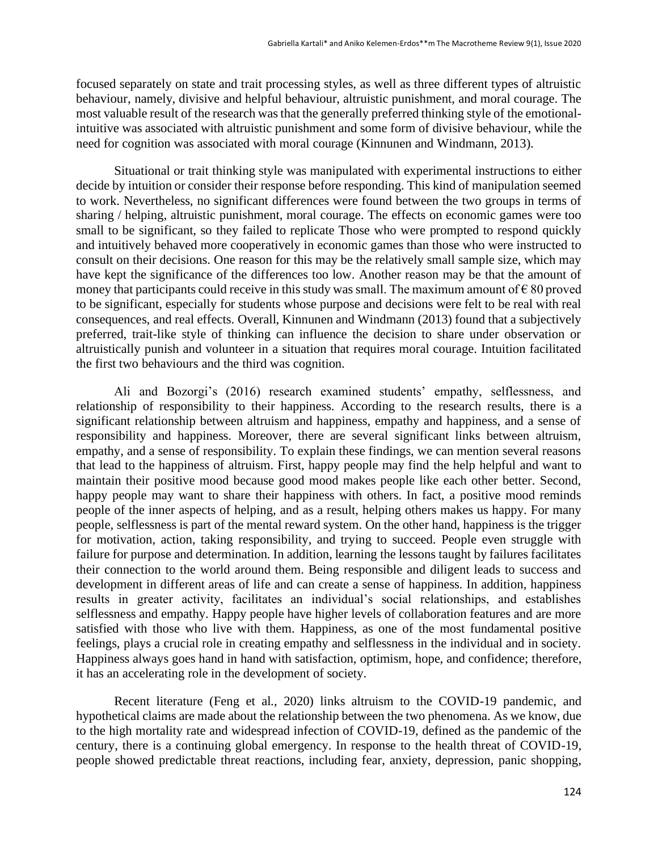focused separately on state and trait processing styles, as well as three different types of altruistic behaviour, namely, divisive and helpful behaviour, altruistic punishment, and moral courage. The most valuable result of the research was that the generally preferred thinking style of the emotionalintuitive was associated with altruistic punishment and some form of divisive behaviour, while the need for cognition was associated with moral courage (Kinnunen and Windmann, 2013).

Situational or trait thinking style was manipulated with experimental instructions to either decide by intuition or consider their response before responding. This kind of manipulation seemed to work. Nevertheless, no significant differences were found between the two groups in terms of sharing / helping, altruistic punishment, moral courage. The effects on economic games were too small to be significant, so they failed to replicate Those who were prompted to respond quickly and intuitively behaved more cooperatively in economic games than those who were instructed to consult on their decisions. One reason for this may be the relatively small sample size, which may have kept the significance of the differences too low. Another reason may be that the amount of money that participants could receive in this study was small. The maximum amount of  $\epsilon$  80 proved to be significant, especially for students whose purpose and decisions were felt to be real with real consequences, and real effects. Overall, Kinnunen and Windmann (2013) found that a subjectively preferred, trait-like style of thinking can influence the decision to share under observation or altruistically punish and volunteer in a situation that requires moral courage. Intuition facilitated the first two behaviours and the third was cognition.

Ali and Bozorgi's (2016) research examined students' empathy, selflessness, and relationship of responsibility to their happiness. According to the research results, there is a significant relationship between altruism and happiness, empathy and happiness, and a sense of responsibility and happiness. Moreover, there are several significant links between altruism, empathy, and a sense of responsibility. To explain these findings, we can mention several reasons that lead to the happiness of altruism. First, happy people may find the help helpful and want to maintain their positive mood because good mood makes people like each other better. Second, happy people may want to share their happiness with others. In fact, a positive mood reminds people of the inner aspects of helping, and as a result, helping others makes us happy. For many people, selflessness is part of the mental reward system. On the other hand, happiness is the trigger for motivation, action, taking responsibility, and trying to succeed. People even struggle with failure for purpose and determination. In addition, learning the lessons taught by failures facilitates their connection to the world around them. Being responsible and diligent leads to success and development in different areas of life and can create a sense of happiness. In addition, happiness results in greater activity, facilitates an individual's social relationships, and establishes selflessness and empathy. Happy people have higher levels of collaboration features and are more satisfied with those who live with them. Happiness, as one of the most fundamental positive feelings, plays a crucial role in creating empathy and selflessness in the individual and in society. Happiness always goes hand in hand with satisfaction, optimism, hope, and confidence; therefore, it has an accelerating role in the development of society.

Recent literature (Feng et al., 2020) links altruism to the COVID-19 pandemic, and hypothetical claims are made about the relationship between the two phenomena. As we know, due to the high mortality rate and widespread infection of COVID-19, defined as the pandemic of the century, there is a continuing global emergency. In response to the health threat of COVID-19, people showed predictable threat reactions, including fear, anxiety, depression, panic shopping,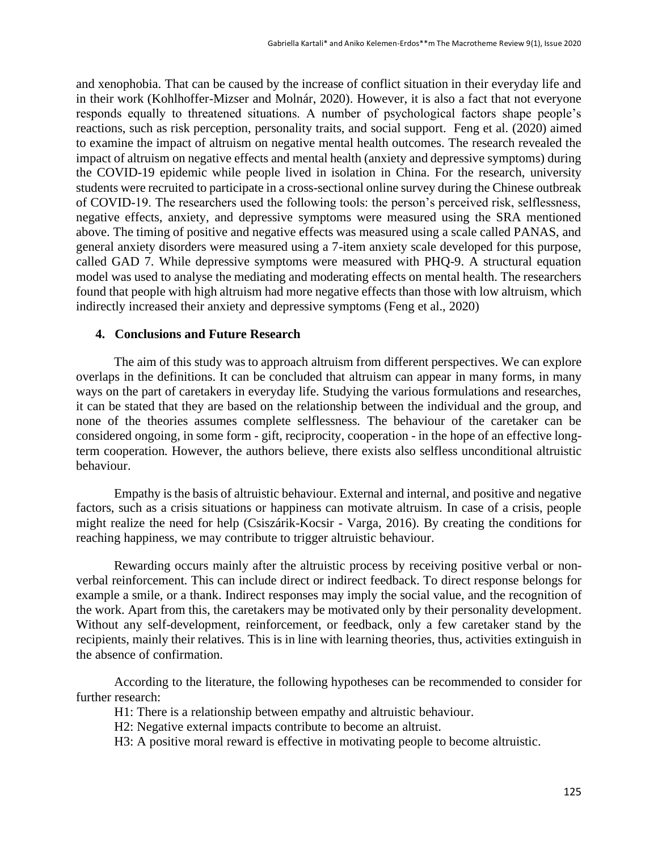and xenophobia. That can be caused by the increase of conflict situation in their everyday life and in their work (Kohlhoffer-Mizser and Molnár, 2020). However, it is also a fact that not everyone responds equally to threatened situations. A number of psychological factors shape people's reactions, such as risk perception, personality traits, and social support. Feng et al. (2020) aimed to examine the impact of altruism on negative mental health outcomes. The research revealed the impact of altruism on negative effects and mental health (anxiety and depressive symptoms) during the COVID-19 epidemic while people lived in isolation in China. For the research, university students were recruited to participate in a cross-sectional online survey during the Chinese outbreak of COVID-19. The researchers used the following tools: the person's perceived risk, selflessness, negative effects, anxiety, and depressive symptoms were measured using the SRA mentioned above. The timing of positive and negative effects was measured using a scale called PANAS, and general anxiety disorders were measured using a 7-item anxiety scale developed for this purpose, called GAD 7. While depressive symptoms were measured with PHQ-9. A structural equation model was used to analyse the mediating and moderating effects on mental health. The researchers found that people with high altruism had more negative effects than those with low altruism, which indirectly increased their anxiety and depressive symptoms (Feng et al., 2020)

#### **4. Conclusions and Future Research**

The aim of this study was to approach altruism from different perspectives. We can explore overlaps in the definitions. It can be concluded that altruism can appear in many forms, in many ways on the part of caretakers in everyday life. Studying the various formulations and researches, it can be stated that they are based on the relationship between the individual and the group, and none of the theories assumes complete selflessness. The behaviour of the caretaker can be considered ongoing, in some form - gift, reciprocity, cooperation - in the hope of an effective longterm cooperation. However, the authors believe, there exists also selfless unconditional altruistic behaviour.

Empathy is the basis of altruistic behaviour. External and internal, and positive and negative factors, such as a crisis situations or happiness can motivate altruism. In case of a crisis, people might realize the need for help (Csiszárik-Kocsir - Varga, 2016). By creating the conditions for reaching happiness, we may contribute to trigger altruistic behaviour.

Rewarding occurs mainly after the altruistic process by receiving positive verbal or nonverbal reinforcement. This can include direct or indirect feedback. To direct response belongs for example a smile, or a thank. Indirect responses may imply the social value, and the recognition of the work. Apart from this, the caretakers may be motivated only by their personality development. Without any self-development, reinforcement, or feedback, only a few caretaker stand by the recipients, mainly their relatives. This is in line with learning theories, thus, activities extinguish in the absence of confirmation.

According to the literature, the following hypotheses can be recommended to consider for further research:

H1: There is a relationship between empathy and altruistic behaviour.

- H2: Negative external impacts contribute to become an altruist.
- H3: A positive moral reward is effective in motivating people to become altruistic.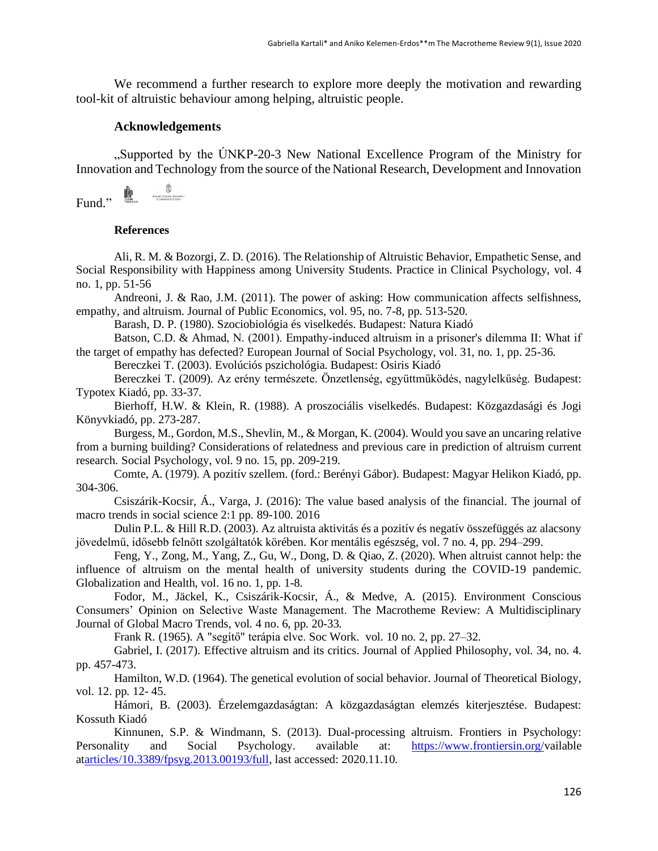We recommend a further research to explore more deeply the motivation and rewarding tool-kit of altruistic behaviour among helping, altruistic people.

#### **Acknowledgements**

"Supported by the ÚNKP-20-3 New National Excellence Program of the Ministry for Innovation and Technology from the source of the National Research, Development and Innovation

$$
\text{Fund.}, \quad \overset{\text{def}}{\text{Ind}} \quad \overset{\text{def}}{\text{Ind}}
$$

#### **References**

Ali, R. M. & Bozorgi, Z. D. (2016). The Relationship of Altruistic Behavior, Empathetic Sense, and Social Responsibility with Happiness among University Students. Practice in Clinical Psychology, vol. 4 no. 1, pp. 51-56

Andreoni, J. & Rao, J.M. (2011). The power of asking: How communication affects selfishness, empathy, and altruism. Journal of Public Economics, vol. 95, no. 7-8, pp. 513-520.

Barash, D. P. (1980). Szociobiológia és viselkedés. Budapest: Natura Kiadó

Batson, C.D. & Ahmad, N. (2001). Empathy-induced altruism in a prisoner's dilemma II: What if the target of empathy has defected? European Journal of Social Psychology, vol. 31, no. 1, pp. 25-36.

Bereczkei T. (2003). Evolúciós pszichológia. Budapest: Osiris Kiadó

Bereczkei T. (2009). Az erény természete. Önzetlenség, együttműködés, nagylelkűség. Budapest: Typotex Kiadó, pp. 33-37.

Bierhoff, H.W. & Klein, R. (1988). A proszociális viselkedés. Budapest: Közgazdasági és Jogi Könyvkiadó, pp. 273-287.

Burgess, M., Gordon, M.S., Shevlin, M., & Morgan, K. (2004). Would you save an uncaring relative from a burning building? Considerations of relatedness and previous care in prediction of altruism current research. Social Psychology, vol. 9 no. 15, pp. 209-219.

Comte, A. (1979). A pozitív szellem. (ford.: Berényi Gábor). Budapest: Magyar Helikon Kiadó, pp. 304-306.

Csiszárik-Kocsir, Á., Varga, J. (2016): The value based analysis of the financial. The journal of macro trends in social science 2:1 pp. 89-100. 2016

Dulin P.L. & Hill R.D. (2003). Az altruista aktivitás és a pozitív és negatív összefüggés az alacsony jövedelmű, idősebb felnőtt szolgáltatók körében. Kor mentális egészség, vol. 7 no. 4, pp. 294–299.

Feng, Y., Zong, M., Yang, Z., Gu, W., Dong, D. & Qiao, Z. (2020). When altruist cannot help: the influence of altruism on the mental health of university students during the COVID-19 pandemic. Globalization and Health, vol. 16 no. 1, pp. 1-8.

Fodor, M., Jäckel, K., Csiszárik-Kocsir, Á., & Medve, A. (2015). Environment Conscious Consumers' Opinion on Selective Waste Management. The Macrotheme Review: A Multidisciplinary Journal of Global Macro Trends, vol. 4 no. 6, pp. 20-33.

Frank R. (1965). A "segítő" terápia elve. Soc Work. vol. 10 no. 2, pp. 27–32.

Gabriel, I. (2017). Effective altruism and its critics. Journal of Applied Philosophy, vol. 34, no. 4. pp. 457-473.

Hamilton, W.D. (1964). The genetical evolution of social behavior. Journal of Theoretical Biology, vol. 12. pp. 12- 45.

Hámori, B. (2003). Érzelemgazdaságtan: A közgazdaságtan elemzés kiterjesztése. Budapest: Kossuth Kiadó

Kinnunen, S.P. & Windmann, S. (2013). Dual-processing altruism. Frontiers in Psychology: Personality and Social Psychology. available at: https://www.frontiersin.org/vailable [atarticles/10.3389/fpsyg.2013.00193/full,](https://www.frontiersin.org/articles/10.3389/fpsyg.2013.00193/full) last accessed: 2020.11.10.